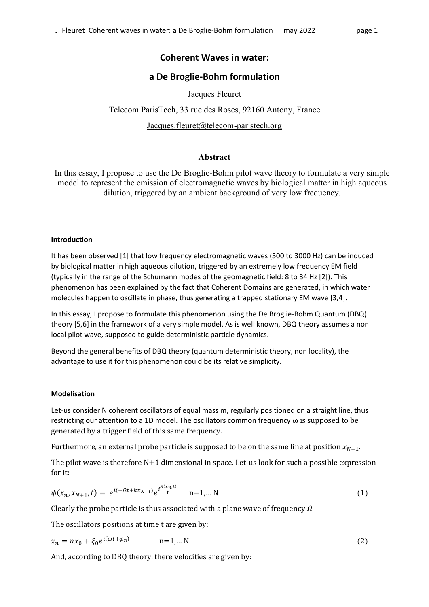# **Coherent Waves in water:**

# **a De Broglie-Bohm formulation**

Jacques Fleuret

Telecom ParisTech, 33 rue des Roses, 92160 Antony, France Jacques.fleuret@telecom-paristech.org

## Abstract

In this essay, I propose to use the De Broglie-Bohm pilot wave theory to formulate a very simple model to represent the emission of electromagnetic waves by biological matter in high aqueous dilution, triggered by an ambient background of very low frequency.

#### **Introduction**

It has been observed [1] that low frequency electromagnetic waves (500 to 3000 Hz) can be induced by biological matter in high aqueous dilution, triggered by an extremely low frequency EM field (typically in the range of the Schumann modes of the geomagnetic field: 8 to 34 Hz [2]). This phenomenon has been explained by the fact that Coherent Domains are generated, in which water molecules happen to oscillate in phase, thus generating a trapped stationary EM wave [3,4].

In this essay, I propose to formulate this phenomenon using the De Broglie-Bohm Quantum (DBQ) theory [5,6] in the framework of a very simple model. As is well known, DBQ theory assumes a non local pilot wave, supposed to guide deterministic particle dynamics.

Beyond the general benefits of DBQ theory (quantum deterministic theory, non locality), the advantage to use it for this phenomenon could be its relative simplicity.

### **Modelisation**

Let-us consider N coherent oscillators of equal mass m, regularly positioned on a straight line, thus restricting our attention to a 1D model. The oscillators common frequency  $\omega$  is supposed to be generated by a trigger field of this same frequency.

Furthermore, an external probe particle is supposed to be on the same line at position  $x_{N+1}$ .

The pilot wave is therefore  $N+1$  dimensional in space. Let-us look for such a possible expression for it:

$$
\psi(x_n, x_{N+1}, t) = e^{i(-\Omega t + kx_{N+1})} e^{i\frac{S(x_n, t)}{\hbar}} \quad n = 1, \dots N
$$
\n(1)

Clearly the probe particle is thus associated with a plane wave of frequency  $\Omega$ .

The oscillators positions at time t are given by:

$$
x_n = nx_0 + \xi_0 e^{i(\omega t + \varphi_n)} \qquad \qquad n = 1, \dots N
$$

And, according to DBQ theory, there velocities are given by: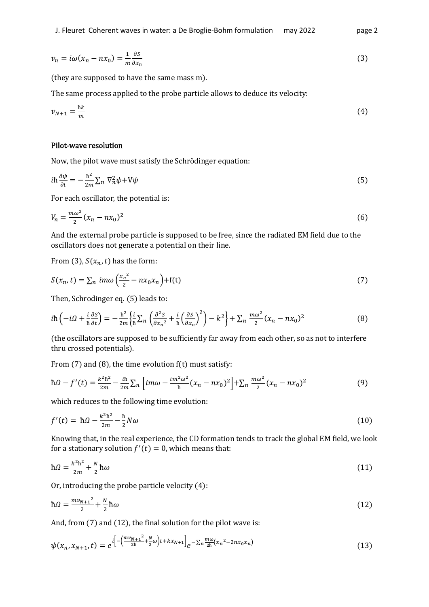$$
v_n = i\omega(x_n - nx_0) = \frac{1}{m} \frac{\partial s}{\partial x_n}
$$
\n(3)

(they are supposed to have the same mass m).

The same process applied to the probe particle allows to deduce its velocity:

$$
v_{N+1} = \frac{\hbar k}{m} \tag{4}
$$

#### Pilot-wave resolution

Now, the pilot wave must satisfy the Schrödinger equation:

$$
i\hbar \frac{\partial \psi}{\partial t} = -\frac{\hbar^2}{2m} \sum_n \nabla_n^2 \psi + V\psi \tag{5}
$$

For each oscillator, the potential is:

$$
V_n = \frac{m\omega^2}{2}(x_n - nx_0)^2
$$
 (6)

And the external probe particle is supposed to be free, since the radiated EM field due to the oscillators does not generate a potential on their line.

From (3),  $S(x_n, t)$  has the form:

$$
S(x_n, t) = \sum_n \, im\omega\left(\frac{x_n^2}{2} - nx_0x_n\right) + f(t) \tag{7}
$$

Then, Schrodinger eq. (5) leads to:

$$
i\hbar\left(-i\Omega + \frac{i}{\hbar}\frac{\partial S}{\partial t}\right) = -\frac{\hbar^2}{2m} \left\{\frac{i}{\hbar}\sum_n \left(\frac{\partial^2 S}{\partial x_n^2} + \frac{i}{\hbar}\left(\frac{\partial S}{\partial x_n}\right)^2\right) - k^2\right\} + \sum_n \frac{m\omega^2}{2} (x_n - nx_0)^2
$$
(8)

(the oscillators are supposed to be sufficiently far away from each other, so as not to interfere thru crossed potentials).

From (7) and (8), the time evolution f(t) must satisfy:

$$
\hbar \Omega - f'(t) = \frac{k^2 \hbar^2}{2m} - \frac{i\hbar}{2m} \sum_n \left[ im\omega - \frac{im^2 \omega^2}{\hbar} (x_n - nx_0)^2 \right] + \sum_n \frac{m\omega^2}{2} (x_n - nx_0)^2 \tag{9}
$$

which reduces to the following time evolution:

$$
f'(t) = \hbar \Omega - \frac{k^2 \hbar^2}{2m} - \frac{\hbar}{2} N \omega
$$
 (10)

Knowing that, in the real experience, the CD formation tends to track the global EM field, we look for a stationary solution  $f'(t) = 0$ , which means that:

$$
\hbar\Omega = \frac{k^2\hbar^2}{2m} + \frac{N}{2}\hbar\omega\tag{11}
$$

Or, introducing the probe particle velocity (4):

$$
\hbar\Omega = \frac{mv_{N+1}^2}{2} + \frac{N}{2}\hbar\omega
$$
\n(12)

And, from (7) and (12), the final solution for the pilot wave is:

$$
\psi(x_n, x_{N+1}, t) = e^{i\left[-\left(\frac{mv_{N+1}^2}{2\hbar} + \frac{N}{2}\omega\right)t + kx_{N+1}\right]}e^{-\sum_n\frac{mv}{2\hbar}(x_n^2 - 2nx_0x_n)}
$$
\n(13)